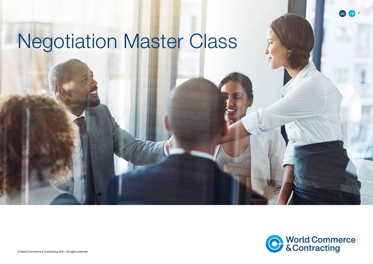# Negotiation Master Class



 $\bigoplus$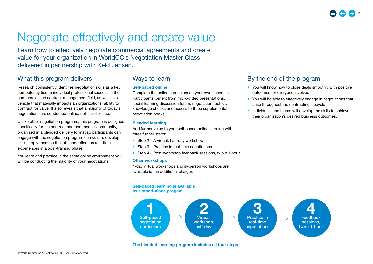## Negotiate effectively and create value

Learn how to effectively negotiate commercial agreements and create value for your organization in WorldCC's Negotiation Master Class delivered in partnership with Keld Jensen.

## What this program delivers

Research consistently identifies negotiation skills as a key competency tied to individual professional success in the commercial and contract management field, as well as a vehicle that materially impacts an organizations' ability to contract for value. It also reveals that a majority of today's negotiations are conducted online, not face-to-face.

Unlike other negotiation programs, this program is designed specifically for the contract and commercial community, organized in a blended delivery format so participants can engage with the negotiation program curriculum, develop skills, apply them on the job, and reflect on real-time experiences in a post-training phase.

You learn and practice in the same online environment you will be conducting the majority of your negotiations.

### Ways to learn

#### Self-paced online

Complete the online curriculum on your own schedule. Participants benefit from micro-video presentations, social-learning discussion forum, negotiation tool-kit, knowledge checks and access to three supplemental negotiation books.

### Blended learning

Add further value to your self-paced online learning with three further steps:

- Step 2 A virtual, half-day workshop
- Step 3 Practice in real-time negotiations
- Step 4 Post-workshop feedback sessions, two x 1-hour

#### Other workshops

1-day virtual workshops and in-person workshops are available (at an additional charge).

### Self-paced learning is available

#### as a stand-alone progam



## By the end of the program

- You will know how to close deals smoothly with positive outcomes for everyone involved
- You will be able to effectively engage in negotiations that arise throughout the contracting lifecycle
- Individuals and teams will develop the skills to achieve their organization's desired business outcomes.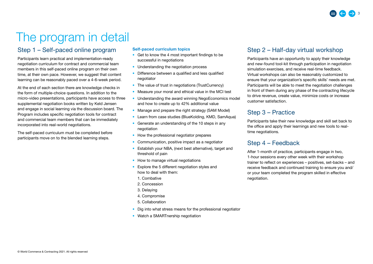## The program in detail

## Step 1 – Self-paced online program

Participants learn practical and implementation-ready negotiation curriculum for contract and commercial team members in this self-paced online program on their own time, at their own pace. However, we suggest that content learning can be reasonably paced over a 4-6-week period.

At the end of each section there are knowledge checks in the form of multiple-choice questions. In addition to the micro-video presentations, participants have access to three supplemental negotiation books written by Keld Jensen and engage in social learning via the discussion board. The Program includes specific negotiation tools for contract and commercial team members that can be immediately incorporated into real-world negotiations.

The self-paced curriculum must be completed before participants move on to the blended learning steps.

### Self-paced curriculum topics

- Get to know the 4 most important findings to be successful in negotiations
- Understanding the negotiation process
- Difference between a qualified and less qualified negotiator
- The value of trust in negotiations (TrustCurrency)
- Measure your moral and ethical value in the MCI test
- Understanding the award winning NegoEconomics model and how to create up to 42% additional value
- Manage and prepare the right strategy (SAM Model)
- Learn from case studies (BlueKolding, KMD, SamAqua)
- Generate an understanding of the 10 steps in any negotiation
- How the professional negotiator prepares
- Communication, positive impact as a negotiator
- Establish your NBA, (next best alternative), target and threshold of pain
- How to manage virtual negotiations
- Explore the 5 different negotiation styles and how to deal with them:
	- 1. Combative
	- 2. Concession
	- 3. Delaying
	- 4. Compromise
	- 5. Collaboration
- Dig into what stress means for the professional negotiator
- Watch a SMARTnership negotiation

## Step 2 – Half-day virtual workshop

Participants have an opportunity to apply their knowledge and new-found tool-kit through participation in negotiation simulation exercises, and receive real-time feedback. Virtual workshops can also be reasonably customized to ensure that your organization's specific skills' needs are met. Participants will be able to meet the negotiation challenges in front of them during any phase of the contracting lifecycle to drive revenue, create value, minimize costs or increase customer satisfaction.

## Step 3 – Practice

Participants take their new knowledge and skill set back to the office and apply their learnings and new tools to realtime negotiations.

## Step 4 – Feedback

After 1-month of practice, participants engage in two, 1-hour sessions every other week with their workshop trainer to reflect on experiences – positives, set-backs – and receive feedback and continued training to ensure you and/ or your team completed the program skilled in effective negotiation.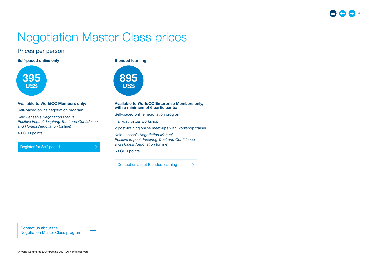## Negotiation Master Class prices

 $\rightarrow$ 

 $\rightarrow$ 

## Prices per person

Self-paced online only **Blended learning** 





#### Available to WorldCC Members only:

Self-paced online negotiation program

Keld Jensen's *Negotiation Manual, Positive Impact: Inspiring Trust and Confidence and Honest Negotiation* (online)

40 CPD points

[Register for Self-paced](https://www.worldcc.com/Login?returnurl=%2fLearn%2fOnline-Professional-Development%2fNegotiation-Master-Classes%2fNegotiation-BRONZE)

Available to WorldCC Enterprise Members only, with a minimum of 6 participants:

Self-paced online negotiation program

Half-day virtual workshop

2 post-training online meet-ups with workshop trainer

Keld Jensen's *Negotiation Manual, Positive Impact: Inspiring Trust and Confidence and Honest Negotiation* (online)

60 CPD points

[Contact us about Blended learning](mailto:learning%40worldcc.com?subject=Negotiation%20Master%20Class%20%E2%80%93%20Blended%20learning)  $\rightarrow$ 

Contact us about the [Negotiation Master Class program](mailto:learning%40worldcc.com?subject=Negotiation%20Master%20Class%20program)

© World Commerce & Contracting 2021. All rights reserved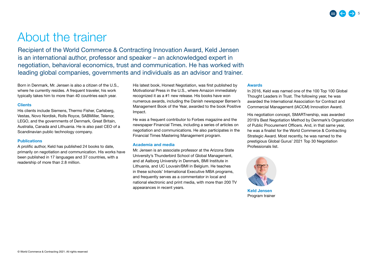## About the trainer

Recipient of the World Commerce & Contracting Innovation Award, Keld Jensen is an international author, professor and speaker – an acknowledged expert in negotiation, behavioral economics, trust and communication. He has worked with leading global companies, governments and individuals as an advisor and trainer.

Born in Denmark, Mr. Jensen is also a citizen of the U.S., where he currently resides. A frequent traveler, his work typically takes him to more than 40 countries each year.

#### Clients

His clients include Siemens, Thermo Fisher, Carlsberg, Vestas, Novo Nordisk, Rolls Royce, SABMiller, Telenor, LEGO, and the governments of Denmark, Great Britain, Australia, Canada and Lithuania. He is also past CEO of a Scandinavian public technology company.

#### **Publications**

A prolific author, Keld has published 24 books to date, primarily on negotiation and communication. His works have been published in 17 languages and 37 countries, with a readership of more than 2.8 million.

His latest book, Honest Negotiation, was first published by Motivational Press in the U.S., where Amazon immediately recognized it as a #1 new release. His books have won numerous awards, including the Danish newspaper Børsen's Management Book of the Year, awarded to the book Positive Impact.

He was a frequent contributor to Forbes magazine and the newspaper Financial Times, including a series of articles on negotiation and communications. He also participates in the Financial Times Mastering Management program.

#### Academia and media

Mr. Jensen is an associate professor at the Arizona State University's Thunderbird School of Global Management, and at Aalborg University in Denmark, BMI Institute in Lithuania, and UC Louvain/BMI in Belgium. He teaches in these schools' International Executive MBA programs, and frequently serves as a commentator in local and national electronic and print media, with more than 200 TV appearances in recent years.

#### Awards

In 2016, Keld was named one of the 100 Top 100 Global Thought Leaders in Trust. The following year, he was awarded the International Association for Contract and Commercial Management (IACCM) Innovation Award.

His negotiation concept, SMARTnership, was awarded 2019's Best Negotiation Method by Denmark's Organization of Public Procurement Officers. And, in that same year, he was a finalist for the World Commerce & Contracting Strategic Award. Most recently, he was named to the prestigious Global Gurus' 2021 Top 30 Negotiation Professionals list.



Program trainer